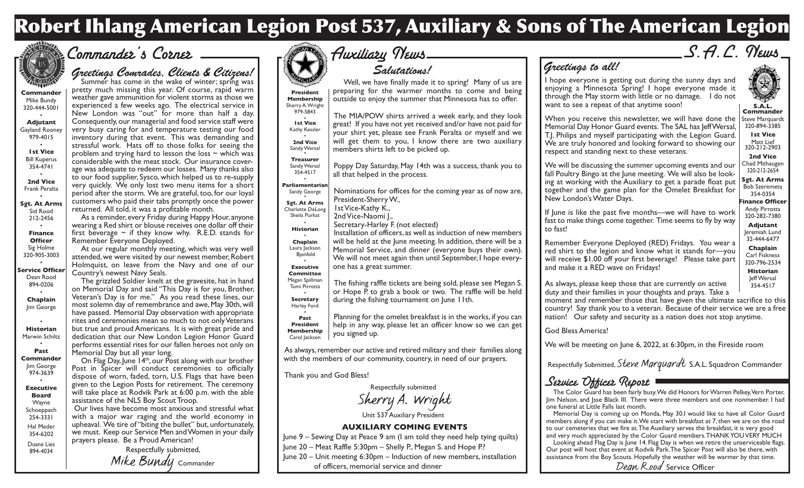## **Robert Ihlang American Legion Post 537, Auxiliary & Sons of The American Legion**



## Commander's Corner

## *Greetings Comrades, Clients & Citizens!*<br>Summer has come in the wake of winter; spring was

**Commander** Mike Bundy 320-444-5001

• **Adjutant** Gayland Rooney 979-4015

> • **1st Vice** Bill Kuperus 354-4741

• **2nd Vice** Frank Peralta

• **Sgt. At Arms** Sid Rood 212-2456

• **Finance Officer** Sig Holme 320-905-3003 •

**Service Officer** Dean Rood 894-0206 •

**Chaplain** Jim George

• **Historian** Marwin Schiltz

#### • **Past Commander** Jim George 974-3639 • **Executive**

**Board** Wayne Schoeppach 254-3331 Hal Meder 354-6202 Duane Lies 894-4034

pretty much missing this year. Of course, rapid warm weather gave ammunition for violent storms as those we experienced a few weeks ago. The electrical service in New London was "out" for more than half a day. Consequently, our managerial and food service staff were very busy caring for and temperature testing our food inventory during that event. This was demanding and stressful work. Hats off to those folks for seeing the problem and trying hard to lesson the loss  $\sim$  which was considerable with the meat stock. Our insurance coverage was adequate to redeem our losses. Many thanks also to our food supplier, Sysco, which helped us to re-supply very quickly. We only lost two menu items for a short period after the storm. We are grateful, too, for our loyal customers who paid their tabs promptly once the power returned. All told, it was a profitable month. As a reminder, every Friday during Happy Hour, anyone

wearing a Red shirt or blouse receives one dollar off their first beverage  $\sim$  if they know why. R.E.D. stands for Remember Everyone Deployed.

At our regular monthly meeting, which was very well attended, we were visited by our newest member, Robert Holmquist, on leave from the Navy and one of our Country's newest Navy Seals.

The grizzled Soldier knelt at the gravesite, hat in hand on Memorial Day and said "This Day is for you, Brother, Veteran's Day is for me." As you read these lines, our most solemn day of remembrance and awe, May 30th, will have passed. Memorial Day observation with appropriate rites and ceremonies mean so much to not only Veterans but true and proud Americans. It is with great pride and dedication that our New London Legion Honor Guard performs essential rites for our fallen heroes not only on Memorial Day but all year long.

On Flag Day, June 14<sup>th</sup>, our Post along with our brother Post in Spicer will conduct ceremonies to officially dispose of worn, faded, torn, U.S. Flags that have been given to the Legion Posts for retirement. The ceremony will take place at Rodvik Park at 6:00 p.m. with the able assistance of the NLS Boy Scout Troop.

 Our lives have become most anxious and stressful what with a major war raging and the world economy in upheaval. We tire of "biting the bullet" but, unfortunately, we must. Keep our Service Men and Women in your daily prayers please. Be a Proud American!

Respectfully submitted, Mike Bundu Commander



## Auxiliary News *Salutations!*

**President Membership** Sherry A. Wright Well, we have finally made it to spring! Many of us are preparing for the warmer months to come and being outside to enjoy the summer that Minnesota has to offer.

979-5843 • **1st Vice** Kathy Kessler **2nd Vice** Sandy Wersal The MIA/POW shirts arrived a week early, and they look great! If you have not yet received and/or have not paid for your shirt yet, please see Frank Peralta or myself and we will get them to you, I know there are two auxiliary members shirts left to be picked up.

#### **Treasurer**

•

Sandy Wersal 354-4517 Poppy Day Saturday, May 14th was a success, thank you to all that helped in the process.

#### • **Parliamentarian**

Sandy George **Sgt. At Arms** Charlotte DeLong Sheila Purkat • **Historian** • **Chaplain** Laura Jackson Bjonfold • **Executive Committee** Megan Spillman Tomi Pirrotta • **Secretary** Harley Ford • **Past** Nominations for offices for the coming year as of now are, President-Sherry W., 1st Vice-Kathy K., 2nd Vice-Naomi I., Secretary-Harley F. (not elected) Installation of officers, as well as induction of new members will be held at the June meeting. In addition, there will be a Memorial Service, and dinner (everyone buys their own). We will not meet again then until September, I hope everyone has a great summer. The fishing raffle tickets are being sold, please see Megan S. or Hope P. to grab a book or two. The raffle will be held during the fishing tournament on June 11th. Planning for the omelet breakfast is in the works, if you can

**President Membership** Carol Jackson help in any way, please let an officer know so we can get you signed up.

As always, remember our active and retired military and their families along with the members of our community, country, in need of our prayers.

#### Thank you and God Bless!

Respectfully submitted Sherry A. Wright Unit 537 Auxiliary President

### **AUXILIARY COMING EVENTS**

June 9 – Sewing Day at Peace 9 am (I am told they need help tying quilts)

June 20 – Meat Raffle 5:30pm – Shelly P., Megan S. and Hope P.?

June 20 – Unit meeting 6:30pm – Induction of new members, installation

of officers, memorial service and dinner

S.A.C. News

## *Greetings to all!*

I hope everyone is getting out during the sunny days and enjoying a Minnesota Spring! I hope everyone made it through the May storm with little or no damage. I do not want to see a repeat of that anytime soon!

Steve Marquardt When you receive this newsletter, we will have done the Memorial Day Honor Guard events. The SAL has Jeff Wersal, T.J. Philips and myself participating with the Legion Guard. We are truly honored and looking forward to showing our respect and standing next to these veterans.

**Sgt. At Arms Finance Officer** We will be discussing the summer upcoming events and our fall Poultry Bingo at the June meeting. We will also be looking at working with the Auxiliary to get a parade float put together and the game plan for the Omelet Breakfast for New London's Water Days.

If June is like the past five months—we will have to work fast to make things come together. Time seems to fly by way to fast!

Remember Everyone Deployed (RED) Fridays. You wear a red shirt to the legion and know what it stands for—you will receive \$1.00 off your first beverage! Please take part and make it a RED wave on Fridays!

As always, please keep those that are currently on active duty and their families in your thoughts and prays. Take a

moment and remember those that have given the ultimate sacrifice to this country! Say thank you to a veteran. Because of their service we are a free nation! Our safety and security as a nation does not stop anytime.

God Bless America!

We will be meeting on June 6, 2022, at 6:30pm, in the Fireside room

Respectfully Submitted, Steve Marquardt S.A.L. Squadron Commander

Service Ufficer Report The Color Guard Color Guile<br>The Color Guard has been fairly busy. We did Honors for Warren Pelkey, Vern Porter, Jim Nelson, and Jsse Black III. There were three members and one nonmember. I had one funeral at Little Falls last month.

Memorial Day is coming up on Monda, May 30.I would like to have all Color Guard members along if you can make it. We start with breakfast at 7, then we are on the road to our cemeteries that we fire at. The Auxiliary serves the breakfast, it is very good and very much appreciated by the Color Guard members. THANK YOU VERY MUCH

Looking ahead Flag Day is June 14. Flag Day is when we retire the unserviceable flags. Our post will host that event at Rodvik Park. The Spicer Post will also be there, with assistance from the Boy Scouts. Hopefully the weather will be warmer by that time.

Dean Rood Service Officer

**S.A.L. Commander**

> 320-894-3385 **1st Vice** Matt Lief 320-212-2903 **2nd Vice**

Chad Mithaugen 320-212-2654

Bob Szeremeta 354-0354

Andy Pirrotta 320-282-7380 **Adjutant** Jeremiah Lund 32-444-6477 **Chaplain** Carl Fiskness 320-796-2534 **Historian** Jeff Wersal  $354 - 4517$